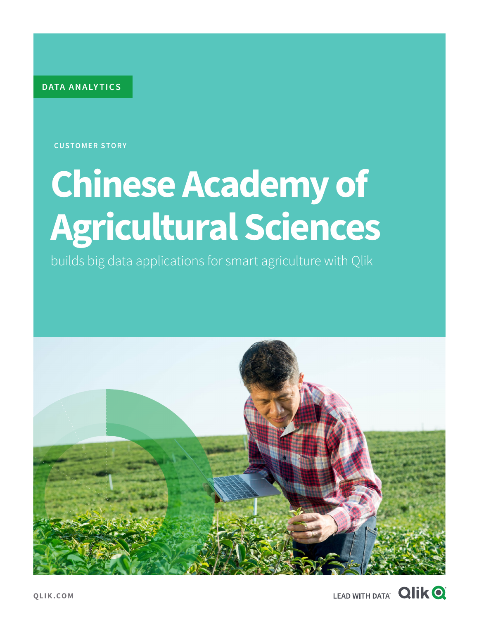**DATA ANALY TICS**

**CUSTOMER STORY**

# **Chinese Academy of Agricultural Sciences**

builds big data applications for smart agriculture with Qlik



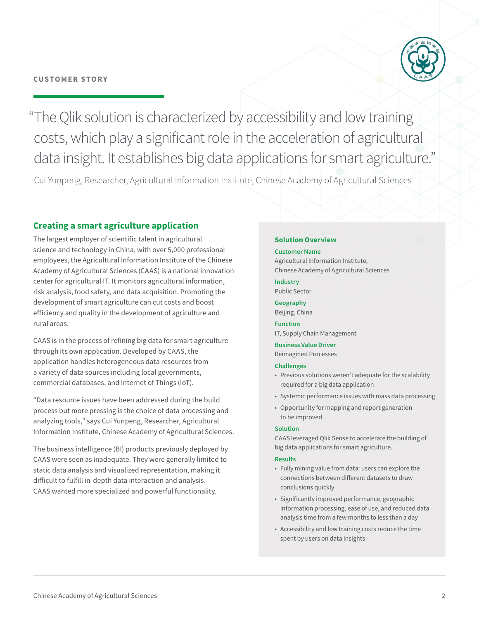

"The Qlik solution is characterized by accessibility and low training costs, which play a significant role in the acceleration of agricultural data insight. It establishes big data applications for smart agriculture."

Cui Yunpeng, Researcher, Agricultural Information Institute, Chinese Academy of Agricultural Sciences

# **Creating a smart agriculture application**

The largest employer of scientific talent in agricultural science and technology in China, with over 5,000 professional employees, the Agricultural Information Institute of the Chinese Academy of Agricultural Sciences (CAAS) is a national innovation center for agricultural IT. It monitors agricultural information, risk analysis, food safety, and data acquisition. Promoting the development of smart agriculture can cut costs and boost efficiency and quality in the development of agriculture and rural areas.

CAAS is in the process of refining big data for smart agriculture through its own application. Developed by CAAS, the application handles heterogeneous data resources from a variety of data sources including local governments, commercial databases, and Internet of Things (IoT).

"Data resource issues have been addressed during the build process but more pressing is the choice of data processing and analyzing tools," says Cui Yunpeng, Researcher, Agricultural Information Institute, Chinese Academy of Agricultural Sciences.

The business intelligence (BI) products previously deployed by CAAS were seen as inadequate. They were generally limited to static data analysis and visualized representation, making it difficult to fulfill in-depth data interaction and analysis. CAAS wanted more specialized and powerful functionality.

### **Solution Overview**

#### **Customer Name**

Agricultural Information Institute, Chinese Academy of Agricultural Sciences

**Industry** Public Sector

**Geography** Beijing, China

**Function** IT, Supply Chain Management

**Business Value Driver**  Reimagined Processes

#### **Challenges**

- Previous solutions weren't adequate for the scalability required for a big data application
- Systemic performance issues with mass data processing
- Opportunity for mapping and report generation to be improved

#### **Solution**

CAAS leveraged Qlik Sense to accelerate the building of big data applications for smart agriculture.

#### **Results**

- Fully mining value from data: users can explore the connections between different datasets to draw conclusions quickly
- Significantly improved performance, geographic information processing, ease of use, and reduced data analysis time from a few months to less than a day
- Accessibility and low training costs reduce the time spent by users on data insights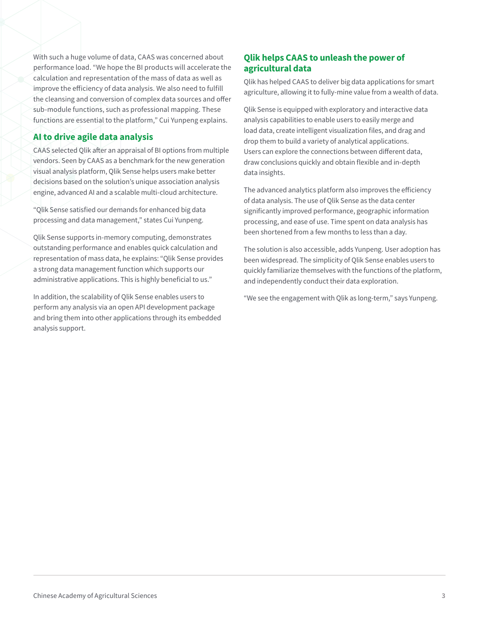With such a huge volume of data, CAAS was concerned about performance load. "We hope the BI products will accelerate the calculation and representation of the mass of data as well as improve the efficiency of data analysis. We also need to fulfill the cleansing and conversion of complex data sources and offer sub-module functions, such as professional mapping. These functions are essential to the platform," Cui Yunpeng explains.

# **AI to drive agile data analysis**

CAAS selected Qlik after an appraisal of BI options from multiple vendors. Seen by CAAS as a benchmark for the new generation visual analysis platform, Qlik Sense helps users make better decisions based on the solution's unique association analysis engine, advanced AI and a scalable multi-cloud architecture.

"Qlik Sense satisfied our demands for enhanced big data processing and data management," states Cui Yunpeng.

Qlik Sense supports in-memory computing, demonstrates outstanding performance and enables quick calculation and representation of mass data, he explains: "Qlik Sense provides a strong data management function which supports our administrative applications. This is highly beneficial to us."

In addition, the scalability of Qlik Sense enables users to perform any analysis via an open API development package and bring them into other applications through its embedded analysis support.

## **Qlik helps CAAS to unleash the power of agricultural data**

Qlik has helped CAAS to deliver big data applications for smart agriculture, allowing it to fully-mine value from a wealth of data.

Qlik Sense is equipped with exploratory and interactive data analysis capabilities to enable users to easily merge and load data, create intelligent visualization files, and drag and drop them to build a variety of analytical applications. Users can explore the connections between different data, draw conclusions quickly and obtain flexible and in-depth data insights.

The advanced analytics platform also improves the efficiency of data analysis. The use of Qlik Sense as the data center significantly improved performance, geographic information processing, and ease of use. Time spent on data analysis has been shortened from a few months to less than a day.

The solution is also accessible, adds Yunpeng. User adoption has been widespread. The simplicity of Qlik Sense enables users to quickly familiarize themselves with the functions of the platform, and independently conduct their data exploration.

"We see the engagement with Qlik as long-term," says Yunpeng.